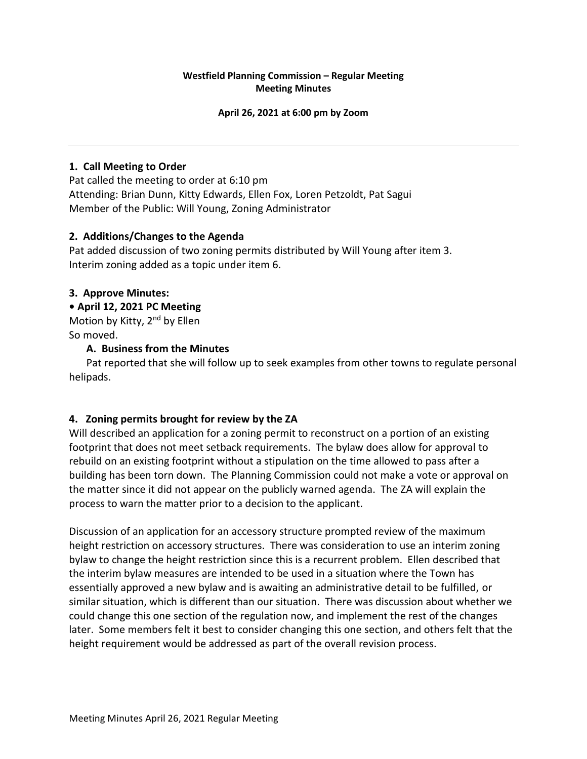## **Westfield Planning Commission – Regular Meeting Meeting Minutes**

#### **April 26, 2021 at 6:00 pm by Zoom**

## **1. Call Meeting to Order**

Pat called the meeting to order at 6:10 pm Attending: Brian Dunn, Kitty Edwards, Ellen Fox, Loren Petzoldt, Pat Sagui Member of the Public: Will Young, Zoning Administrator

### **2. Additions/Changes to the Agenda**

Pat added discussion of two zoning permits distributed by Will Young after item 3. Interim zoning added as a topic under item 6.

### **3. Approve Minutes:**

### **• April 12, 2021 PC Meeting**

Motion by Kitty, 2<sup>nd</sup> by Ellen So moved.

### **A. Business from the Minutes**

Pat reported that she will follow up to seek examples from other towns to regulate personal helipads.

## **4. Zoning permits brought for review by the ZA**

Will described an application for a zoning permit to reconstruct on a portion of an existing footprint that does not meet setback requirements. The bylaw does allow for approval to rebuild on an existing footprint without a stipulation on the time allowed to pass after a building has been torn down. The Planning Commission could not make a vote or approval on the matter since it did not appear on the publicly warned agenda. The ZA will explain the process to warn the matter prior to a decision to the applicant.

Discussion of an application for an accessory structure prompted review of the maximum height restriction on accessory structures. There was consideration to use an interim zoning bylaw to change the height restriction since this is a recurrent problem. Ellen described that the interim bylaw measures are intended to be used in a situation where the Town has essentially approved a new bylaw and is awaiting an administrative detail to be fulfilled, or similar situation, which is different than our situation. There was discussion about whether we could change this one section of the regulation now, and implement the rest of the changes later. Some members felt it best to consider changing this one section, and others felt that the height requirement would be addressed as part of the overall revision process.